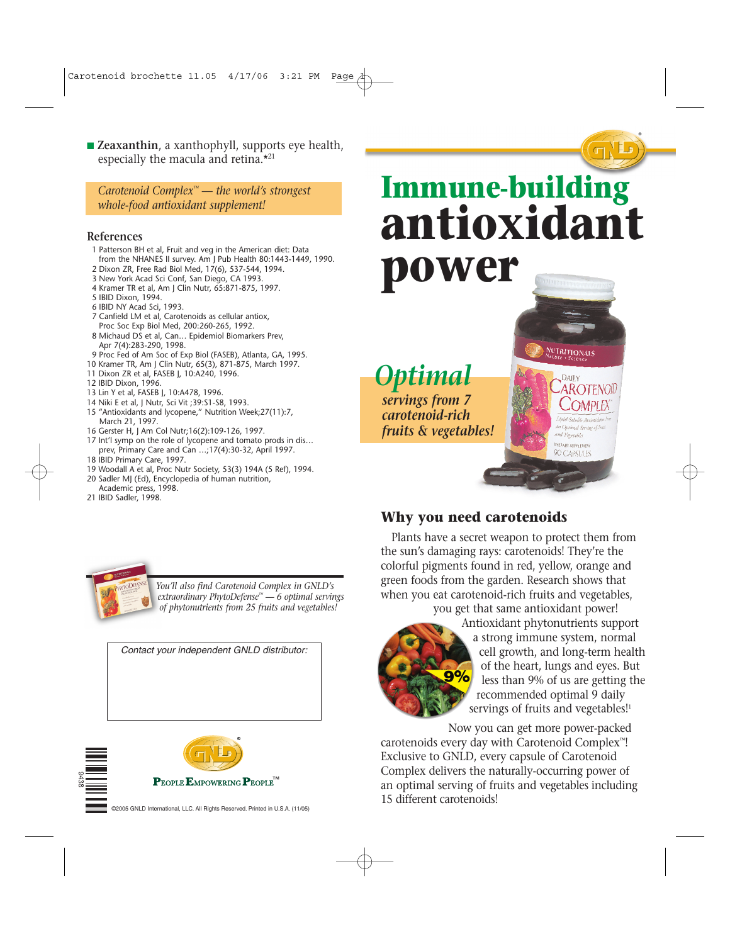■ **Zeaxanthin**, a xanthophyll, supports eye health, especially the macula and retina.\*<sup>21</sup>

*Carotenoid Complex™ — the world's strongest whole-food antioxidant supplement!*

#### **References**

- 1 Patterson BH et al, Fruit and veg in the American diet: Data from the NHANES II survey. Am J Pub Health 80:1443-1449, 1990.
- 2 Dixon ZR, Free Rad Biol Med, 17(6), 537-544, 1994.
- 3 New York Acad Sci Conf, San Diego, CA 1993. 4 Kramer TR et al, Am J Clin Nutr, 65:871-875, 1997.
- 5 IBID Dixon, 1994.
- 6 IBID NY Acad Sci, 1993.
- 7 Canfield LM et al, Carotenoids as cellular antiox, Proc Soc Exp Biol Med, 200:260-265, 1992.
- 8 Michaud DS et al, Can… Epidemiol Biomarkers Prev, Apr 7(4):283-290, 1998.
- 9 Proc Fed of Am Soc of Exp Biol (FASEB), Atlanta, GA, 1995.
- 10 Kramer TR, Am J Clin Nutr, 65(3), 871-875, March 1997.
- 11 Dixon ZR et al, FASEB J, 10:A240, 1996.
- 12 IBID Dixon, 1996.
- 13 Lin Y et al, FASEB J, 10:A478, 1996.
- 14 Niki E et al, J Nutr, Sci Vit ;39:S1-S8, 1993.
- 15 "Antioxidants and lycopene," Nutrition Week;27(11):7, March 21, 1997.
- 16 Gerster H, J Am Col Nutr;16(2):109-126, 1997.
- 17 Int'l symp on the role of lycopene and tomato prods in dis… prev, Primary Care and Can …;17(4):30-32, April 1997.
- 18 IBID Primary Care, 1997.
- 19 Woodall A et al, Proc Nutr Society, 53(3) 194A (5 Ref), 1994.
- 20 Sadler MJ (Ed), Encyclopedia of human nutrition, Academic press, 1998.
- 21 IBID Sadler, 1998.





*You'll also find Carotenoid Complex in GNLD's extraordinary PhytoDefense™ — 6 optimal servings of phytonutrients from 25 fruits and vegetables!*

*Contact your independent GNLD distributor:*



# **Immune-building antioxidant power**

®



*servings from 7 carotenoid-rich fruits & vegetables!*

### **Why you need carotenoids**

Plants have a secret weapon to protect them from the sun's damaging rays: carotenoids! They're the colorful pigments found in red, yellow, orange and green foods from the garden. Research shows that when you eat carotenoid-rich fruits and vegetables, you get that same antioxidant power!



Antioxidant phytonutrients support a strong immune system, normal cell growth, and long-term health of the heart, lungs and eyes. But less than 9% of us are getting the recommended optimal 9 daily servings of fruits and vegetables!<sup>1</sup>

**NUTRITIONALS** 

 $J$ inid  $c_{d}$ ,  $U$ . an Optimal San and Vegetables **DIETARY SUPPLEMENT** 90 CAPSULES

Now you can get more power-packed carotenoids every day with Carotenoid Complex™! Exclusive to GNLD, every capsule of Carotenoid Complex delivers the naturally-occurring power of an optimal serving of fruits and vegetables including 15 different carotenoids!